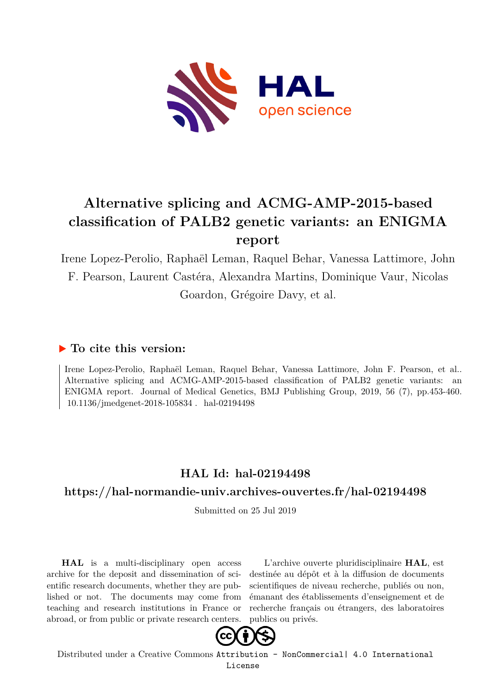

# **Alternative splicing and ACMG-AMP-2015-based classification of PALB2 genetic variants: an ENIGMA report**

Irene Lopez-Perolio, Raphaël Leman, Raquel Behar, Vanessa Lattimore, John F. Pearson, Laurent Castéra, Alexandra Martins, Dominique Vaur, Nicolas Goardon, Grégoire Davy, et al.

# **To cite this version:**

Irene Lopez-Perolio, Raphaël Leman, Raquel Behar, Vanessa Lattimore, John F. Pearson, et al.. Alternative splicing and ACMG-AMP-2015-based classification of PALB2 genetic variants: an ENIGMA report. Journal of Medical Genetics, BMJ Publishing Group, 2019, 56 (7), pp.453-460.  $10.1136$ /jmedgenet-2018-105834 . hal-02194498

# **HAL Id: hal-02194498**

# **<https://hal-normandie-univ.archives-ouvertes.fr/hal-02194498>**

Submitted on 25 Jul 2019

**HAL** is a multi-disciplinary open access archive for the deposit and dissemination of scientific research documents, whether they are published or not. The documents may come from teaching and research institutions in France or abroad, or from public or private research centers.

L'archive ouverte pluridisciplinaire **HAL**, est destinée au dépôt et à la diffusion de documents scientifiques de niveau recherche, publiés ou non, émanant des établissements d'enseignement et de recherche français ou étrangers, des laboratoires publics ou privés.



Distributed under a Creative Commons [Attribution - NonCommercial| 4.0 International](http://creativecommons.org/licenses/by-nc/4.0/) [License](http://creativecommons.org/licenses/by-nc/4.0/)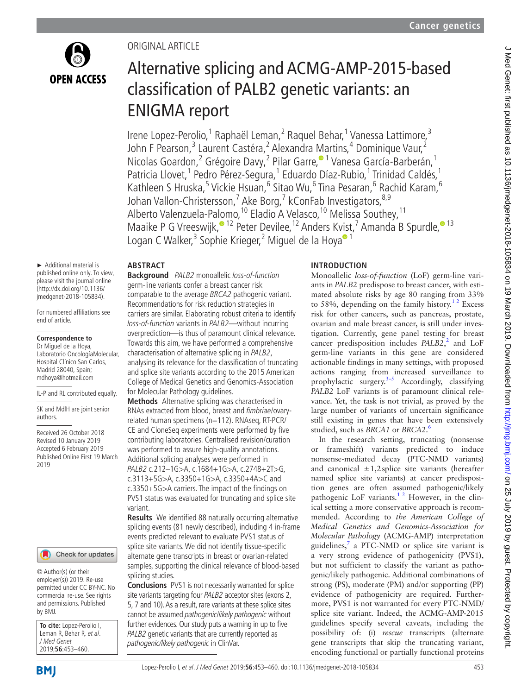

## Original article

# Alternative splicing and ACMG-AMP-2015-based classification of PALB2 genetic variants: an ENIGMA report

Irene Lopez-Perolio,<sup>1</sup> Raphaël Leman,<sup>2</sup> Raquel Behar,<sup>1</sup> Vanessa Lattimore,<sup>3</sup> John F Pearson,<sup>3</sup> Laurent Castéra,<sup>2</sup> Alexandra Martins,<sup>4</sup> Dominique Vaur,<sup>2</sup> Nicolas Goardon,<sup>2</sup> Grégoire Davy,<sup>2</sup> Pilar Garre,<sup>® 1</sup> Vanesa García-Barberán,<sup>1</sup> Patricia Llovet,<sup>1</sup> Pedro Pérez-Segura,<sup>1</sup> Eduardo Díaz-Rubio,<sup>1</sup> Trinidad Caldés,<sup>1</sup> Kathleen S Hruska,<sup>5</sup> Vickie Hsuan,<sup>6</sup> Sitao Wu,<sup>6</sup> Tina Pesaran,<sup>6</sup> Rachid Karam,<sup>6</sup> Johan Vallon-Christersson,<sup>7</sup> Ake Borg,<sup>7</sup> kConFab Investigators,<sup>8,9</sup> Alberto Valenzuela-Pa[lo](http://orcid.org/0000-0003-4068-9271)mo,<sup>10</sup> Eladio A Velasco,<sup>10</sup> Melissa Southey,<sup>11</sup> Maaike P G Vreeswijk[,](http://orcid.org/0000-0003-1337-7897)<sup> $\bullet$  12 Peter Devilee,<sup>12</sup> Anders K[vis](http://orcid.org/0000-0002-8113-1410)t,<sup>7</sup> Amanda B Spurdle, $\bullet$ <sup>13</sup></sup> Logan C Walker,<sup>3</sup> Sophie Krieger,<sup>2</sup> Miguel de la Hoya® <sup>1</sup>

#### **Abstract**

► Additional material is published online only. To view, please visit the journal online (http://dx.doi.org/10.1136/ jmedgenet-2018-105834).

For numbered affiliations see end of article.

#### **Correspondence to**

Dr Miguel de la Hoya, Laboratorio OncologíaMolecular, Hospital Clínico San Carlos, Madrid 28040, Spain; mdhoya@hotmail.com

IL-P and RL contributed equally.

SK and MdlH are joint senior authors.

Received 26 October 2018 Revised 10 January 2019 Accepted 6 February 2019 Published Online First 19 March 2019



© Author(s) (or their employer(s)) 2019. Re-use permitted under CC BY-NC. No commercial re-use. See rights and permissions. Published by BMJ.

**To cite:** Lopez-Perolio I, Leman R, Behar R, et al. J Med Genet 2019;**56**:453–460.

**Background** PALB2 monoallelic loss-of-function germ-line variants confer a breast cancer risk comparable to the average BRCA2 pathogenic variant. Recommendations for risk reduction strategies in carriers are similar. Elaborating robust criteria to identify loss-of-function variants in PALB2—without incurring overprediction—is thus of paramount clinical relevance. Towards this aim, we have performed a comprehensive characterisation of alternative splicing in PALB2, analysing its relevance for the classification of truncating and splice site variants according to the 2015 American College of Medical Genetics and Genomics-Association for Molecular Pathology guidelines.

**Methods** Alternative splicing was characterised in RNAs extracted from blood, breast and fimbriae/ovaryrelated human specimens (n=112). RNAseq, RT-PCR/ CE and CloneSeq experiments were performed by five contributing laboratories. Centralised revision/curation was performed to assure high-quality annotations. Additional splicing analyses were performed in PALB2 c.212–1G>A, c.1684+1G>A, c.2748+2T>G, c.3113+5G>A, c.3350+1G>A, c.3350+4A>C and c.3350+5G>A carriers. The impact of the findings on PVS1 status was evaluated for truncating and splice site variant.

**Results** We identified 88 naturally occurring alternative splicing events (81 newly described), including 4 in-frame events predicted relevant to evaluate PVS1 status of splice site variants. We did not identify tissue-specific alternate gene transcripts in breast or ovarian-related samples, supporting the clinical relevance of blood-based splicing studies.

**Conclusions** PVS1 is not necessarily warranted for splice site variants targeting four PALB2 acceptor sites (exons 2, 5, 7 and 10). As a result, rare variants at these splice sites cannot be assumed pathogenic/likely pathogenic without further evidences. Our study puts a warning in up to five PALB2 genetic variants that are currently reported as pathogenic/likely pathogenic in ClinVar.

## **Introduction**

Monoallelic *loss-of-function* (LoF) germ-line variants in *PALB2* predispose to breast cancer, with estimated absolute risks by age 80 ranging from 33% to 58%, depending on the family history.<sup>12</sup> Excess risk for other cancers, such as pancreas, prostate, ovarian and male breast cancer, is still under investigation. Currently, gene panel testing for breast cancer predisposition includes *PALB2*,<sup>2</sup> and LoF germ-line variants in this gene are considered actionable findings in many settings, with proposed actions ranging from increased surveillance to prophylactic surgery. $3-5$  Accordingly, classifying *PALB2* LoF variants is of paramount clinical relevance. Yet, the task is not trivial, as proved by the large number of variants of uncertain significance still existing in genes that have been extensively studied, such as *BRCA1* or *BRCA2*. 6

In the research setting, truncating (nonsense or frameshift) variants predicted to induce nonsense-mediated decay (PTC-NMD variants) and canonical  $\pm 1,2$  splice site variants (hereafter named splice site variants) at cancer predisposition genes are often assumed pathogenic/likely pathogenic LoF variants. $1<sup>2</sup>$  However, in the clinical setting a more conservative approach is recommended. According to *the American College of Medical Genetics and Genomics-Association for Molecular Pathology* (ACMG-AMP) interpretation guidelines, $\frac{7}{7}$  a PTC-NMD or splice site variant is a very strong evidence of pathogenicity (PVS1), but not sufficient to classify the variant as pathogenic/likely pathogenic. Additional combinations of strong (PS), moderate (PM) and/or supporting (PP) evidence of pathogenicity are required. Furthermore, PVS1 is not warranted for every PTC-NMD/ splice site variant. Indeed, the ACMG-AMP-2015 guidelines specify several caveats, including the possibility of: (i) *rescue* transcripts (alternate gene transcripts that skip the truncating variant, encoding functional or partially functional proteins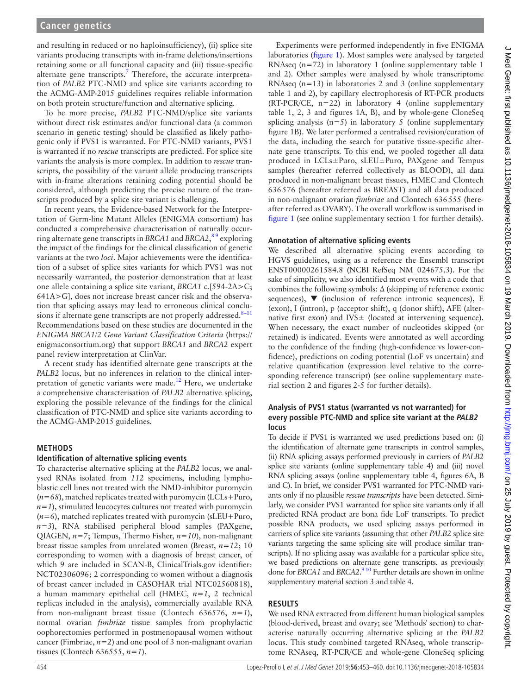and resulting in reduced or no haploinsufficiency), (ii) splice site variants producing transcripts with in-frame deletions/insertions retaining some or all functional capacity and (iii) tissue-specific alternate gene transcripts.<sup>7</sup> Therefore, the accurate interpretation of *PALB2* PTC-NMD and splice site variants according to the ACMG-AMP-2015 guidelines requires reliable information on both protein structure/function and alternative splicing.

To be more precise, *PALB2* PTC-NMD/splice site variants without direct risk estimates and/or functional data (a common scenario in genetic testing) should be classified as likely pathogenic only if PVS1 is warranted. For PTC-NMD variants, PVS1 is warranted if no *rescue* transcripts are predicted. For splice site variants the analysis is more complex. In addition to *rescue* transcripts, the possibility of the variant allele producing transcripts with in-frame alterations retaining coding potential should be considered, although predicting the precise nature of the transcripts produced by a splice site variant is challenging.

In recent years, the Evidence-based Network for the Interpretation of Germ-line Mutant Alleles (ENIGMA consortium) has conducted a comprehensive characterisation of naturally occurring alternate gene transcripts in *BRCA1* and *BRCA2*, 8 9 exploring the impact of the findings for the clinical classification of genetic variants at the two *loci*. Major achievements were the identification of a subset of splice sites variants for which PVS1 was not necessarily warranted, the posterior demonstration that at least one allele containing a splice site variant, *BRCA1* c.[594-2A>C; 641A>G], does not increase breast cancer risk and the observation that splicing assays may lead to erroneous clinical conclusions if alternate gene transcripts are not properly addressed. $8-11$ Recommendations based on these studies are documented in the *ENIGMA BRCA1/2 Gene Variant Classification Criteria* [\(https://](https://enigmaconsortium.org) [enigmaconsortium.org\)](https://enigmaconsortium.org) that support *BRCA1* and *BRCA2* expert panel review interpretation at ClinVar.

A recent study has identified alternate gene transcripts at the *PALB2* locus, but no inferences in relation to the clinical interpretation of genetic variants were made.<sup>12</sup> Here, we undertake a comprehensive characterisation of *PALB2* alternative splicing, exploring the possible relevance of the findings for the clinical classification of PTC-NMD and splice site variants according to the ACMG-AMP-2015 guidelines.

## **Methods**

## **Identification of alternative splicing events**

To characterise alternative splicing at the *PALB2* locus, we analysed RNAs isolated from *112* specimens, including lymphoblastic cell lines not treated with the NMD-inhibitor puromycin (*n=68*), matched replicates treated with puromycin (LCLs+Puro,  $n=1$ ), stimulated leucocytes cultures not treated with puromycin (*n=6*), matched replicates treated with puromycin (sLEU+Puro, *n=3*), RNA stabilised peripheral blood samples (PAXgene, QIAGEN, *n=7*; Tempus, Thermo Fisher, *n=10*), non-malignant breast tissue samples from unrelated women (Breast, *n=12*; 10 corresponding to women with a diagnosis of breast cancer, of which 9 are included in SCAN-B, ClinicalTrials.gov identifier: NCT02306096; 2 corresponding to women without a diagnosis of breast cancer included in CASOHAR trial NTC02560818), a human mammary epithelial cell (HMEC, *n=1*, 2 technical replicas included in the analysis), commercially available RNA from non-malignant breast tissue (Clontech 636576, *n=1*), normal ovarian *fimbriae* tissue samples from prophylactic oophorectomies performed in postmenopausal women without cancer (Fimbriae,  $n=2$ ) and one pool of 3 non-malignant ovarian tissues (Clontech 636555, *n=1*).

Experiments were performed independently in five ENIGMA laboratories (figure 1). Most samples were analysed by targeted RNAseq (n=72) in laboratory 1 (online [supplementary table 1](https://dx.doi.org/10.1136/jmedgenet-2018-105834) [and 2\)](https://dx.doi.org/10.1136/jmedgenet-2018-105834). Other samples were analysed by whole transcriptome RNAseq  $(n=13)$  in laboratories 2 and 3 (online [supplementary](https://dx.doi.org/10.1136/jmedgenet-2018-105834) [table 1 and 2\)](https://dx.doi.org/10.1136/jmedgenet-2018-105834), by capillary electrophoresis of RT-PCR products  $(RT-PCR/CE, n=22)$  in laboratory 4 (online [supplementary](https://dx.doi.org/10.1136/jmedgenet-2018-105834) [table 1, 2, 3 and figures 1A, B](https://dx.doi.org/10.1136/jmedgenet-2018-105834)), and by whole-gene CloneSeq splicing analysis  $(n=5)$  in laboratory 5 (online [supplementary](https://dx.doi.org/10.1136/jmedgenet-2018-105834) [figure 1B](https://dx.doi.org/10.1136/jmedgenet-2018-105834)). We later performed a centralised revision/curation of the data, including the search for putative tissue-specific alternate gene transcripts. To this end, we pooled together all data produced in LCLs±Puro, sLEU±Puro, PAXgene and Tempus samples (hereafter referred collectively as BLOOD), all data produced in non-malignant breast tissues, HMEC and Clontech 636576 (hereafter referred as BREAST) and all data produced in non-malignant ovarian *fimbriae* and Clontech 636555 (hereafter referred as OVARY). The overall workflow is summarised in figure 1 (see online [supplementary section 1](https://dx.doi.org/10.1136/jmedgenet-2018-105834) for further details).

#### **Annotation of alternative splicing events**

We described all alternative splicing events according to HGVS guidelines, using as a reference the Ensembl transcript ENST00000261584.8 (NCBI RefSeq NM\_024675.3). For the sake of simplicity, we also identified most events with a code that combines the following symbols: ∆ (skipping of reference exonic sequences),  $\nabla$  (inclusion of reference intronic sequences), E (exon), I (intron), p (acceptor shift), q (donor shift), AFE (alternative first exon) and IVS $\pm$  (located at intervening sequence). When necessary, the exact number of nucleotides skipped (or retained) is indicated. Events were annotated as well according to the confidence of the finding (high-confidence vs lower-confidence), predictions on coding potential (LoF vs uncertain) and relative quantification (expression level relative to the corresponding reference transcript) (see online [supplementary mate](https://dx.doi.org/10.1136/jmedgenet-2018-105834)[rial section 2 and figures 2-5](https://dx.doi.org/10.1136/jmedgenet-2018-105834) for further details).

## **Analysis of PVS1 status (warranted vs not warranted) for every possible PTC-NMD and splice site variant at the PALB2 locus**

To decide if PVS1 is warranted we used predictions based on: (i) the identification of alternate gene transcripts in control samples, (ii) RNA splicing assays performed previously in carriers of *PALB2* splice site variants (online [supplementary table 4\)](https://dx.doi.org/10.1136/jmedgenet-2018-105834) and (iii) novel RNA splicing assays (online [supplementary table 4, figures 6A, B](https://dx.doi.org/10.1136/jmedgenet-2018-105834) [and C](https://dx.doi.org/10.1136/jmedgenet-2018-105834)). In brief, we consider PVS1 warranted for PTC-NMD variants only if no plausible *rescue transcripts* have been detected. Similarly, we consider PVS1 warranted for splice site variants only if all predicted RNA product are bona fide LoF transcripts. To predict possible RNA products, we used splicing assays performed in carriers of splice site variants (assuming that other *PALB2* splice site variants targeting the same splicing site will produce similar transcripts). If no splicing assay was available for a particular splice site, we based predictions on alternate gene transcripts, as previously done for *BRCA1* and *BRCA2*.<sup>9</sup><sup>10</sup> Further details are shown in online [supplementary material section 3 and table 4.](https://dx.doi.org/10.1136/jmedgenet-2018-105834)

## **Results**

We used RNA extracted from different human biological samples (blood-derived, breast and ovary; see 'Methods' section) to characterise naturally occurring alternative splicing at the *PALB2* locus. This study combined targeted RNAseq, whole transcriptome RNAseq, RT-PCR/CE and whole-gene CloneSeq splicing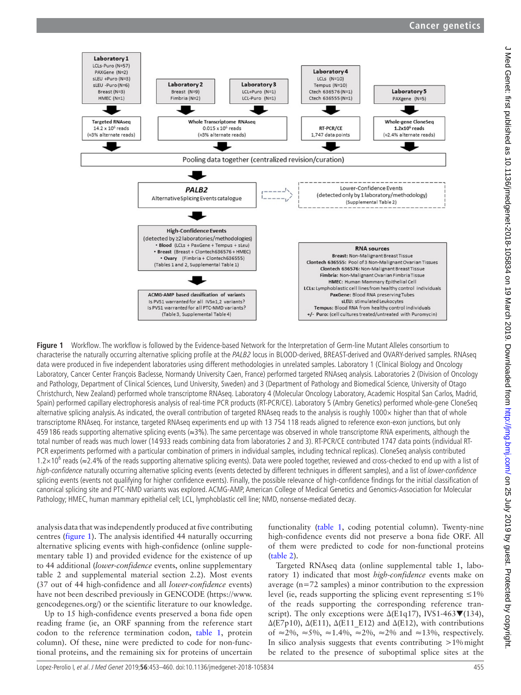

**Figure 1** Workflow. The workflow is followed by the Evidence-based Network for the Interpretation of Germ-line Mutant Alleles consortium to characterise the naturally occurring alternative splicing profile at the PALB2 locus in BLOOD-derived, BREAST-derived and OVARY-derived samples. RNAseq data were produced in five independent laboratories using different methodologies in unrelated samples. Laboratory 1 (Clinical Biology and Oncology Laboratory, Cancer Center François Baclesse, Normandy University Caen, France) performed targeted RNAseq analysis. Laboratories 2 (Division of Oncology and Pathology, Department of Clinical Sciences, Lund University, Sweden) and 3 (Department of Pathology and Biomedical Science, University of Otago Christchurch, New Zealand) performed whole transcriptome RNAseq. Laboratory 4 (Molecular Oncology Laboratory, Academic Hospital San Carlos, Madrid, Spain) performed capillary electrophoresis analysis of real-time PCR products (RT-PCR/CE). Laboratory 5 (Ambry Genetics) performed whole-gene CloneSeq alternative splicing analysis. As indicated, the overall contribution of targeted RNAseq reads to the analysis is roughly 1000× higher than that of whole transcriptome RNAseq. For instance, targeted RNAseq experiments end up with 13 754 118 reads aligned to reference exon-exon junctions, but only 459 186 reads supporting alternative splicing events (≈3%). The same percentage was observed in whole transcriptome RNA experiments, although the total number of reads was much lower (14 933 reads combining data from laboratories 2 and 3). RT-PCR/CE contributed 1747 data points (individual RT-PCR experiments performed with a particular combination of primers in individual samples, including technical replicas). CloneSeq analysis contributed 1.2×10<sup>6</sup> reads (≈2.4% of the reads supporting alternative splicing events). Data were pooled together, reviewed and cross-checked to end up with a list of high-confidence naturally occurring alternative splicing events (events detected by different techniques in different samples), and a list of lower-confidence splicing events (events not qualifying for higher confidence events). Finally, the possible relevance of high-confidence findings for the initial classification of canonical splicing site and PTC-NMD variants was explored. AC MG-AMP, American College of Medical Genetics and Genomics-Association for Molecular Pathology; HMEC, human mammary epithelial cell; LCL, lymphoblastic cell line; NMD, nonsense-mediated decay.

analysis data that was independently produced at five contributing centres (figure 1). The analysis identified 44 naturally occurring alternative splicing events with high-confidence (online [supple](https://dx.doi.org/10.1136/jmedgenet-2018-105834)[mentary table 1](https://dx.doi.org/10.1136/jmedgenet-2018-105834)) and provided evidence for the existence of up to 44 additional (*lower-confidence* events, online [supplementary](https://dx.doi.org/10.1136/jmedgenet-2018-105834)  [table 2 and supplemental material section 2.2\)](https://dx.doi.org/10.1136/jmedgenet-2018-105834). Most events (37 out of 44 high-confidence and all *lower-confidence* events) have not been described previously in GENCODE [\(https://www.](https://www.gencodegenes.org/) [gencodegenes.org/\)](https://www.gencodegenes.org/) or the scientific literature to our knowledge.

Up to 15 high-confidence events preserved a bona fide open reading frame (ie, an ORF spanning from the reference start codon to the reference termination codon, table 1, protein column). Of these, nine were predicted to code for non-functional proteins, and the remaining six for proteins of uncertain

functionality (table 1, coding potential column). Twenty-nine high-confidence events did not preserve a bona fide ORF. All of them were predicted to code for non-functional proteins (table 2).

Targeted RNAseq data (online [supplemental table 1,](https://dx.doi.org/10.1136/jmedgenet-2018-105834) laboratory 1) indicated that most *high-confidence* events make on average (n=72 samples) a minor contribution to the expression level (ie, reads supporting the splicing event representing  $\leq 1\%$ of the reads supporting the corresponding reference transcript). The only exceptions were  $\Delta$ (E1q17), IVS1-463 $\blacktriangledown$ (134),  $\Delta$ (E7p10),  $\Delta$ (E11),  $\Delta$ (E11 E12) and  $\Delta$ (E12), with contributions of  $\approx$ 2%,  $\approx$ 5%,  $\approx$ 1.4%,  $\approx$ 2%,  $\approx$ 2% and  $\approx$ 13%, respectively. In silico analysis suggests that events contributing  $>1\%$  might be related to the presence of suboptimal splice sites at the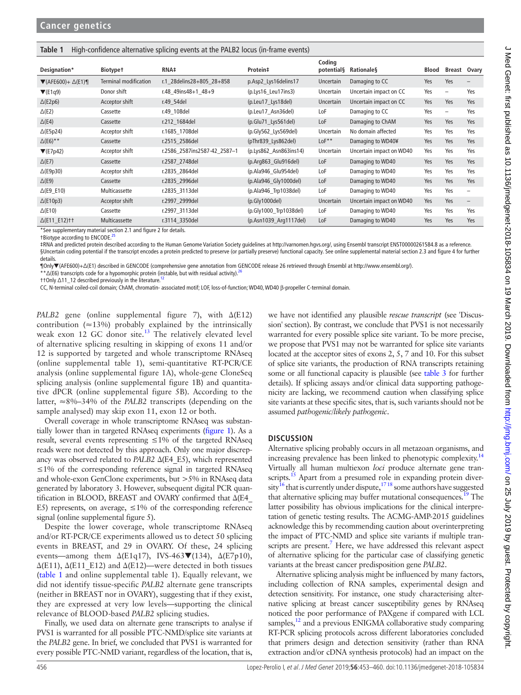#### **Table 1** High-confidence alternative splicing events at the PALB2 locus (in-frame events)

|                                               |                              |                                 |                        | Coding      |                          |       |                   |                          |
|-----------------------------------------------|------------------------------|---------------------------------|------------------------|-------------|--------------------------|-------|-------------------|--------------------------|
| Designation*                                  | <b>Biotypet</b>              | RNA‡                            | Protein‡               | potential§  | Rationale§               | Blood | Breast Ovary      |                          |
| $\blacktriangledown$ (AFE600)+ $\Delta$ (E1)¶ | <b>Terminal modification</b> | r.1 28 delins 28 + 805 28 + 858 | p.Asp2_Lys16delins17   | Uncertain   | Damaging to CC           | Yes   | Yes               | $\qquad \qquad -$        |
| $\Pi(E1q9)$                                   | Donor shift                  | r.48 49ins48+1 48+9             | (p.Lys16_Leu17ins3)    | Uncertain   | Uncertain impact on CC   | Yes   | $\qquad \qquad -$ | Yes                      |
| $\Delta$ (E2p6)                               | Acceptor shift               | r.49 54del                      | (p.Leu17_Lys18del)     | Uncertain   | Uncertain impact on CC   | Yes   | Yes               | Yes                      |
| $\Delta$ (E2)                                 | Cassette                     | r.49 108del                     | (p.Leu17 Asn36del)     | LoF         | Damaging to CC           | Yes   | $\qquad \qquad -$ | Yes                      |
| $\Delta$ (E4)                                 | Cassette                     | r.212 1684del                   | $(p.Glu71_Lys561del)$  | LoF         | Damaging to ChAM         | Yes   | Yes               | Yes                      |
| $\Delta$ (E5p24)                              | Acceptor shift               | r.1685 1708del                  | (p.Gly562_Lys569del)   | Uncertain   | No domain affected       | Yes   | Yes               | Yes                      |
| $\Delta$ (E6)**                               | Cassette                     | r.2515 2586del                  | (pThr839 Lys862del)    | $L$ o $F^*$ | Damaging to WD40¥        | Yes   | Yes               | Yes                      |
| $\Pi(E7p42)$                                  | Acceptor shift               | r.2586 2587ins2587-42 2587-1    | (p.Lys862_Asn863ins14) | Uncertain   | Uncertain impact on WD40 | Yes   | Yes               | Yes                      |
| $\Delta$ (E7)                                 | Cassette                     | r.2587 2748del                  | (p.Arg863 Glu916del)   | LoF         | Damaging to WD40         | Yes   | Yes               | Yes                      |
| $\Delta$ (E9p30)                              | Acceptor shift               | r.2835 2864del                  | (p.Ala946 Glu954del)   | LoF         | Damaging to WD40         | Yes   | Yes               | Yes                      |
| $\Delta$ (E9)                                 | Cassette                     | r.2835 2996del                  | (p.Ala946_Gly1000del)  | LoF         | Damaging to WD40         | Yes   | Yes               | Yes                      |
| $\Delta$ (E9_E10)                             | Multicassette                | r.2835 3113del                  | (p.Ala946 Trp1038del)  | LoF         | Damaging to WD40         | Yes   | Yes               | $\overline{\phantom{0}}$ |
| $\Delta$ (E10p3)                              | Acceptor shift               | r.2997 2999del                  | (p.Gly1000del)         | Uncertain   | Uncertain impact on WD40 | Yes   | Yes               | $\qquad \qquad -$        |
| $\Delta$ (E10)                                | Cassette                     | r.2997 3113del                  | (p.Gly1000_Trp1038del) | LoF         | Damaging to WD40         | Yes   | Yes               | Yes                      |
| △(E11 E12) † †                                | Multicassette                | r.3114 3350del                  | (p.Asn1039_Arg1117del) | LoF         | Damaging to WD40         | Yes   | Yes               | Yes                      |

\*See [supplementary material section 2.1 and figure 2](https://dx.doi.org/10.1136/jmedgenet-2018-105834) for details.

†Biotype according to ENCODE.25

‡RNA and predicted protein described according to the Human Genome Variation Society guidelines at <http://varnomen.hgvs.org/>, using Ensembl transcript ENST00000261584.8 as a reference. §Uncertain coding potential if the transcript encodes a protein predicted to preserve (or partially preserve) functional capacity. See online [supplemental material section 2.3 and figure 4](https://dx.doi.org/10.1136/jmedgenet-2018-105834) for further details.

¶Only▼(AFE600)+∆(E1) described in GENCODE (comprehensive gene annotation from GENCODE release 26 retrieved through Ensembl at <http://www.ensembl.org/>).

\*\* Δ(E6) transcripts code for a hypomorphic protein (instable, but with residual activity).

††Only Δ11\_12 described previously in the literature.<sup>12</sup>

CC, N-terminal coiled-coil domain; ChAM, chromatin- associated motif; LOF, loss-of-function; WD40, WD40 β-propeller C-terminal domain.

*PALB2* gene (online [supplemental figure 7](https://dx.doi.org/10.1136/jmedgenet-2018-105834)), with  $Δ(E12)$ contribution ( $\approx$ 13%) probably explained by the intrinsically weak exon 12 GC donor site. $13$  The relatively elevated level of alternative splicing resulting in skipping of exons 11 and/or 12 is supported by targeted and whole transcriptome RNAseq (online [supplemental table 1\)](https://dx.doi.org/10.1136/jmedgenet-2018-105834), semi-quantitative RT-PCR/CE analysis (online [supplemental figure 1A\)](https://dx.doi.org/10.1136/jmedgenet-2018-105834), whole-gene CloneSeq splicing analysis (online [supplemental figure 1B\)](https://dx.doi.org/10.1136/jmedgenet-2018-105834) and quantitative dPCR (online [supplemental figure 5B](https://dx.doi.org/10.1136/jmedgenet-2018-105834)). According to the latter, ≈8%–34% of the *PALB2* transcripts (depending on the sample analysed) may skip exon 11, exon 12 or both.

Overall coverage in whole transcriptome RNAseq was substantially lower than in targeted RNAseq experiments (figure 1). As a result, several events representing  $\leq 1\%$  of the targeted RNAseq reads were not detected by this approach. Only one major discrepancy was observed related to *PALB2* Δ(E4\_E5), which represented ≤1% of the corresponding reference signal in targeted RNAseq and whole-exon GenClone experiments, but >5% in RNAseq data generated by laboratory 3. However, subsequent digital PCR quantification in BLOOD, BREAST and OVARY confirmed that Δ(E4\_ E5) represents, on average,  $\leq 1\%$  of the corresponding reference signal (online [supplemental figure 5\)](https://dx.doi.org/10.1136/jmedgenet-2018-105834).

Despite the lower coverage, whole transcriptome RNAseq and/or RT-PCR/CE experiments allowed us to detect 50 splicing events in BREAST, and 29 in OVARY. Of these, 24 splicing events—among them  $\Delta$ (E1q17), IVS-463 $\blacktriangledown$ (134),  $\Delta$ (E7p10), ∆(E11), ∆(E11\_E12) and ∆(E12)—were detected in both tissues (table 1 and online [supplemental table 1](https://dx.doi.org/10.1136/jmedgenet-2018-105834)). Equally relevant, we did not identify tissue-specific *PALB2* alternate gene transcripts (neither in BREAST nor in OVARY), suggesting that if they exist, they are expressed at very low levels—supporting the clinical relevance of BLOOD-based *PALB2* splicing studies.

Finally, we used data on alternate gene transcripts to analyse if PVS1 is warranted for all possible PTC-NMD/splice site variants at the *PALB2* gene. In brief, we concluded that PVS1 is warranted for every possible PTC-NMD variant, regardless of the location, that is,

we have not identified any plausible *rescue transcript* (see 'Discussion' section). By contrast, we conclude that PVS1 is not necessarily warranted for every possible splice site variant. To be more precise, we propose that PVS1 may not be warranted for splice site variants located at the acceptor sites of exons 2, 5, 7 and 10. For this subset of splice site variants, the production of RNA transcripts retaining some or all functional capacity is plausible (see table 3 for further details). If splicing assays and/or clinical data supporting pathogenicity are lacking, we recommend caution when classifying splice site variants at these specific sites, that is, such variants should not be assumed *pathogenic/likely pathogenic*.

#### **Discussion**

Alternative splicing probably occurs in all metazoan organisms, and increasing prevalence has been linked to phenotypic complexity.14 Virtually all human multiexon *loci* produce alternate gene transcripts.<sup>15</sup> Apart from a presumed role in expanding protein diver $sity^{16}$  that is currently under dispute,<sup>1718</sup> some authors have suggested that alternative splicing may buffer mutational consequences.<sup>19</sup> The latter possibility has obvious implications for the clinical interpretation of genetic testing results. The ACMG-AMP-2015 guidelines acknowledge this by recommending caution about overinterpreting the impact of PTC-NMD and splice site variants if multiple transcripts are present.<sup>7</sup> Here, we have addressed this relevant aspect of alternative splicing for the particular case of classifying genetic variants at the breast cancer predisposition gene *PALB2*.

Alternative splicing analysis might be influenced by many factors, including collection of RNA samples, experimental design and detection sensitivity. For instance, one study characterising alternative splicing at breast cancer susceptibility genes by RNAseq noticed the poor performance of PAXgene if compared with LCL samples, $^{12}$  and a previous ENIGMA collaborative study comparing RT-PCR splicing protocols across different laboratories concluded that primers design and detection sensitivity (rather than RNA extraction and/or cDNA synthesis protocols) had an impact on the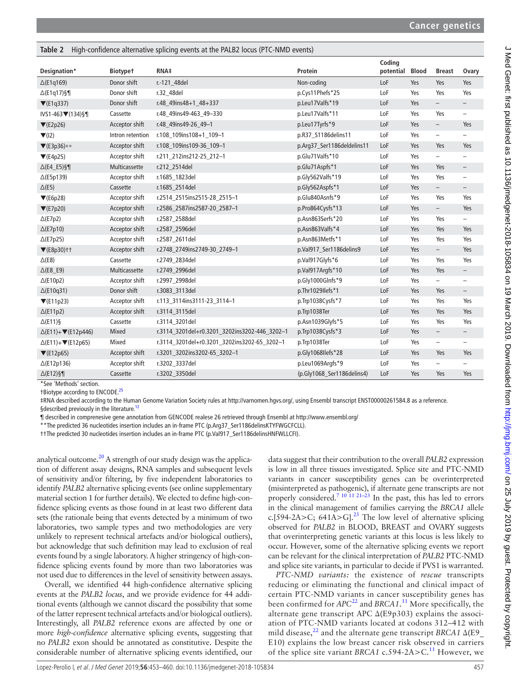| <b>IdDIE Z</b>                                 |                  | nigh-commence anemative splicing events at the PALDZ locus (PTC-NIVID events) |                            |           |              |                          |                          |
|------------------------------------------------|------------------|-------------------------------------------------------------------------------|----------------------------|-----------|--------------|--------------------------|--------------------------|
|                                                |                  |                                                                               |                            | Coding    |              |                          |                          |
| Designation*                                   | <b>Biotypet</b>  | RNA‡                                                                          | Protein                    | potential | <b>Blood</b> | <b>Breast</b>            | Ovary                    |
| $\Delta$ (E1q169)                              | Donor shift      | r.-121 48del                                                                  | Non-coding                 | LoF       | Yes          | Yes                      | Yes                      |
| $\Delta$ (E1q17)§¶                             | Donor shift      | r.32_48del                                                                    | p.Cys11Phefs*25            | LoF       | Yes          | Yes                      | Yes                      |
| $\Pi(E1q337)$                                  | Donor shift      | r.48_49ins48+1_48+337                                                         | p.Leu17Valfs*19            | LoF       | Yes          | $\overline{\phantom{0}}$ | $\overline{\phantom{0}}$ |
| IVS1-463▼(134)§¶                               | Cassette         | r.48 49ins49-463 49-330                                                       | p.Leu17Valfs*11            | LoF       | Yes          | Yes                      | $\qquad \qquad -$        |
| $\P$ (E2p26)                                   | Acceptor shift   | r.48 49ins49-26 49-1                                                          | p.Leu17Tyrfs*9             | LoF       | Yes          | $\overline{\phantom{0}}$ | Yes                      |
| $\Pi(12)$                                      | Intron retention | r.108 109ins108+1 109-1                                                       | p.R37_S1186delins11        | LoF       | Yes          | $\overline{\phantom{0}}$ | $\overline{\phantom{a}}$ |
| $\Pi(E3p36)$ **                                | Acceptor shift   | r.108_109ins109-36_109-1                                                      | p.Arg37_Ser1186deldelins11 | LoF       | Yes          | Yes                      | Yes                      |
| $\blacktriangledown$ (E4p25)                   | Acceptor shift   | r.211 212ins212-25 212-1                                                      | p.Glu71Valfs*10            | LoF       | Yes          | $\overline{\phantom{0}}$ | $\qquad \qquad -$        |
| $\triangle$ (E4_E5)§¶                          | Multicassette    | r.212 2514del                                                                 | p.Glu71Aspfs*1             | LoF       | Yes          | Yes                      | $\overline{\phantom{a}}$ |
| $\Delta$ (E5p139)                              | Acceptor shift   | r.1685 1823del                                                                | p.Gly562Valfs*19           | LoF       | Yes          | Yes                      | $\overline{\phantom{m}}$ |
| $\Delta$ (E5)                                  | Cassette         | r.1685 2514del                                                                | p.Gly562Aspfs*1            | LoF       | Yes          | $\overline{\phantom{0}}$ | $\qquad \qquad -$        |
| $\Pi$ (E6p28)                                  | Acceptor shift   | r.2514_2515ins2515-28_2515-1                                                  | p.Glu840Asnfs*9            | LoF       | Yes          | Yes                      | Yes                      |
| $\Pi(E7p20)$                                   | Acceptor shift   | r.2586_2587ins2587-20_2587-1                                                  | p.Pro864Cysfs*13           | LoF       | Yes          | $\overline{\phantom{0}}$ | Yes                      |
| $\Delta$ (E7p2)                                | Acceptor shift   | r.2587 2588del                                                                | p.Asn863Serfs*20           | LoF       | Yes          | Yes                      | $\qquad \qquad -$        |
| $\Delta$ (E7p10)                               | Acceptor shift   | r.2587 2596del                                                                | p.Asn863Valfs*4            | LoF       | Yes          | Yes                      | Yes                      |
| $\Delta$ (E7p25)                               | Acceptor shift   | r.2587 2611 del                                                               | p.Asn863Metfs*1            | LoF       | Yes          | Yes                      | Yes                      |
| $\Pi$ (E8p30)††                                | Acceptor shift   | r.2748_2749ins2749-30_2749-1                                                  | p.Val917_Ser1186delins9    | LoF       | Yes          | $\qquad \qquad -$        | Yes                      |
| $\triangle$ (E8)                               | Cassette         | r.2749_2834del                                                                | p.Val917Glyfs*6            | LoF       | Yes          | Yes                      | Yes                      |
| $\triangle$ (E8_E9)                            | Multicassette    | r.2749_2996del                                                                | p.Val917Argfs*10           | LoF       | Yes          | Yes                      | $\qquad \qquad -$        |
| $\Delta$ (E10p2)                               | Acceptor shift   | r.2997_2998del                                                                | p.Gly1000Glnfs*9           | LoF       | Yes          | $\overline{\phantom{0}}$ | $\qquad \qquad -$        |
| $\Delta$ (E10q31)                              | Donor shift      | r.3083_3113del                                                                | p.Thr1029Ilefs*1           | LoF       | Yes          | Yes                      | $\overline{\phantom{a}}$ |
| $\Pi$ (E11p23)                                 | Acceptor shift   | r.113_3114ins3111-23_3114-1                                                   | p.Trp1038Cysfs*7           | LoF       | Yes          | Yes                      | Yes                      |
| $\Delta$ (E11p2)                               | Acceptor shift   | r.3114 3115del                                                                | p.Trp1038Ter               | LoF       | Yes          | Yes                      | Yes                      |
| $\Delta$ (E11)§                                | Cassette         | r.3114 3201 del                                                               | p.Asn1039Glyfs*5           | LoF       | Yes          | Yes                      | Yes                      |
| $\Delta$ (E11)+ $\blacktriangledown$ (E12p446) | Mixed            | r.3114_3201del+r0.3201_3202ins3202-446_3202-1                                 | p.Trp1038Cysfs*3           | LoF       | Yes          | $\overline{\phantom{0}}$ | -                        |
| $\Delta$ (E11)+ $\blacktriangledown$ (E12p65)  | Mixed            | r.3114_3201del+r0.3201_3202ins3202-65_3202-1                                  | p.Trp1038Ter               | LoF       | Yes          | $\overline{\phantom{0}}$ | $\overline{\phantom{0}}$ |
| $\Pi(E12p65)$                                  | Acceptor shift   | r.3201_3202ins3202-65_3202-1                                                  | p.Gly1068Ilefs*28          | LoF       | Yes          | Yes                      | Yes                      |
| $\Delta$ (E12p136)                             | Acceptor shift   | r.3202 3337del                                                                | p.Leu1069Argfs*9           | LoF       | Yes          | $\overline{\phantom{0}}$ | -                        |
| $\Delta$ (E12)§¶                               | Cassette         | r.3202 3350del                                                                | (p.Gly1068 Ser1186delins4) | LoF       | Yes          | Yes                      | Yes                      |

\*See 'Methods' section.

†Biotype according to ENCODE.25

‡RNA described according to the Human Genome Variation Society rules at <http://varnomen.hgvs.org/>, using Ensembl transcript ENST00000261584.8 as a reference. §described previously in the literature.<sup>12</sup>

¶ described in comprenesive gene annotation from GENCODE realese 26 retrieved through Ensembl at <http://www.ensembl.org/>

\*\*The predicted 36 nucleotides insertion includes an in-frame PTC (p.Arg37\_Ser1186delinsKTYFWGCFCLL).

**Table 2** High-confidence alternative splicing events at the PALB2 locus (PTC-NMD events)

††The predicted 30 nucleotides insertion includes an in-frame PTC (p.Val917\_Ser1186delinsHNFWLLCFI).

analytical outcome.<sup>20</sup> A strength of our study design was the application of different assay designs, RNA samples and subsequent levels of sensitivity and/or filtering, by five independent laboratories to identify *PALB2* alternative splicing events (see online [supplementary](https://dx.doi.org/10.1136/jmedgenet-2018-105834)  [material section 1](https://dx.doi.org/10.1136/jmedgenet-2018-105834) for further details). We elected to define high-confidence splicing events as those found in at least two different data sets (the rationale being that events detected by a minimum of two laboratories, two sample types and two methodologies are very unlikely to represent technical artefacts and/or biological outliers), but acknowledge that such definition may lead to exclusion of real events found by a single laboratory. A higher stringency of high-confidence splicing events found by more than two laboratories was not used due to differences in the level of sensitivity between assays.

Overall, we identified 44 high-confidence alternative splicing events at the *PALB2 locus*, and we provide evidence for 44 additional events (although we cannot discard the possibility that some of the latter represent technical artefacts and/or biological outliers). Interestingly, all *PALB2* reference exons are affected by one or more *high-confidence* alternative splicing events, suggesting that no *PALB2* exon should be annotated as constitutive. Despite the considerable number of alternative splicing events identified, our

data suggest that their contribution to the overall *PALB2* expression is low in all three tissues investigated. Splice site and PTC-NMD variants in cancer susceptibility genes can be overinterpreted (misinterpreted as pathogenic), if alternate gene transcripts are not properly considered.<sup>7</sup> <sup>10</sup><sup>11 21–23</sup> In the past, this has led to errors in the clinical management of families carrying the *BRCA1* allele c.[594-2A>C; 641A>G].<sup>23</sup> The low level of alternative splicing observed for *PALB2* in BLOOD, BREAST and OVARY suggests that overinterpreting genetic variants at this locus is less likely to occur. However, some of the alternative splicing events we report can be relevant for the clinical interpretation of *PALB2* PTC-NMD and splice site variants, in particular to decide if PVS1 is warranted.

*PTC-NMD variants:* the existence of *rescue* transcripts reducing or eliminating the functional and clinical impact of certain PTC-NMD variants in cancer susceptibility genes has been confirmed for *APC*22 and *BRCA1*. 11 More specifically, the alternate gene transcript APC Δ(E9p303) explains the association of PTC-NMD variants located at codons 312–412 with mild disease,<sup>22</sup> and the alternate gene transcript *BRCA1*  $\Delta$ (E9 E10) explains the low breast cancer risk observed in carriers of the splice site variant *BRCA1* c.594-2A>C.11 However, we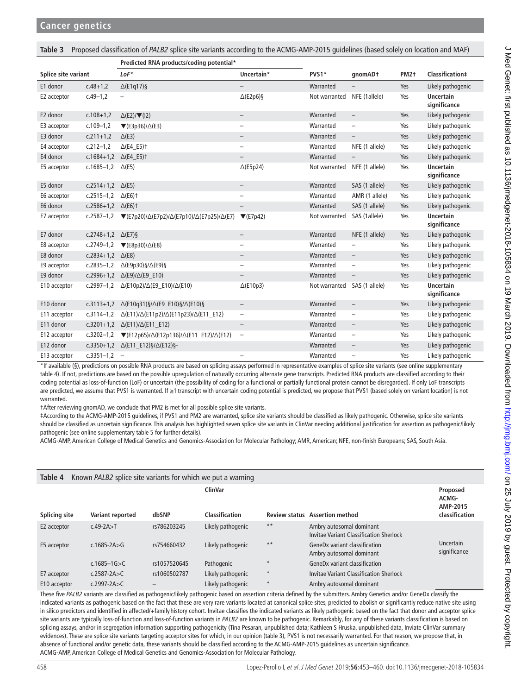| Proposed classification of PALB2 splice site variants according to the ACMG-AMP-2015 guidelines (based solely on location and MAF)<br>Table 3 |                                 |                                                                                                                                                      |                          |               |                          |                   |                                  |  |
|-----------------------------------------------------------------------------------------------------------------------------------------------|---------------------------------|------------------------------------------------------------------------------------------------------------------------------------------------------|--------------------------|---------------|--------------------------|-------------------|----------------------------------|--|
|                                                                                                                                               |                                 | Predicted RNA products/coding potential*                                                                                                             |                          |               |                          |                   |                                  |  |
| Splice site variant                                                                                                                           |                                 | $LoF^*$                                                                                                                                              | Uncertain*               | PVS1*         | qnomAD+                  | PM <sub>2</sub> t | Classification‡                  |  |
| E1 donor                                                                                                                                      | $c.48 + 1.2$                    | $\Delta$ (E1q17)§                                                                                                                                    |                          | Warranted     |                          | Yes               | Likely pathogenic                |  |
| E2 acceptor                                                                                                                                   | $c.49 - 1,2$                    |                                                                                                                                                      | $\Delta$ (E2p6)§         | Not warranted | NFE (1allele)            | Yes               | <b>Uncertain</b><br>significance |  |
| E2 donor                                                                                                                                      | $c.108 + 1,2$                   | $\Delta$ (E2)/ $\nabla$ (I2)                                                                                                                         | $\qquad \qquad -$        | Warranted     | $\qquad \qquad -$        | Yes               | Likely pathogenic                |  |
| E3 acceptor                                                                                                                                   | $c.109 - 1,2$                   | $\blacktriangledown$ (E3p36)/ $\triangle$ (E3)                                                                                                       | $\overline{\phantom{0}}$ | Warranted     | $\qquad \qquad -$        | Yes               | Likely pathogenic                |  |
| E3 donor                                                                                                                                      | $c.211+1.2$                     | $\Delta$ (E3)                                                                                                                                        | —                        | Warranted     | $\qquad \qquad -$        | Yes               | Likely pathogenic                |  |
| E4 acceptor                                                                                                                                   | $c.212 - 1.2$                   | $\triangle$ (E4_E5) †                                                                                                                                | $\qquad \qquad -$        | Warranted     | NFE (1 allele)           | Yes               | Likely pathogenic                |  |
| E4 donor                                                                                                                                      | c.1684+1,2 $\triangle$ (E4_E5)t |                                                                                                                                                      | $\qquad \qquad -$        | Warranted     |                          | Yes               | Likely pathogenic                |  |
| E5 acceptor                                                                                                                                   | c.1685-1,2 $\triangle$ (E5)     |                                                                                                                                                      | $\Delta$ (E5p24)         | Not warranted | NFE (1 allele)           | Yes               | <b>Uncertain</b><br>significance |  |
| E5 donor                                                                                                                                      | c.2514+1,2 $\Delta$ (E5)        |                                                                                                                                                      | $\overline{\phantom{a}}$ | Warranted     | SAS (1 allele)           | Yes               | Likely pathogenic                |  |
| E6 acceptor                                                                                                                                   | $c.2515 - 1.2$                  | $\Delta$ (E6) <sup>+</sup>                                                                                                                           | $\overline{\phantom{0}}$ | Warranted     | AMR (1 allele)           | Yes               | Likely pathogenic                |  |
| E6 donor                                                                                                                                      | c.2586+1,2 $\triangle$ (E6)t    |                                                                                                                                                      | $\qquad \qquad -$        | Warranted     | SAS (1 allele)           | Yes               | Likely pathogenic                |  |
| E7 acceptor                                                                                                                                   |                                 | c.2587-1,2 $\blacktriangledown$ (E7p20)/ $\triangle$ (E7p2)/ $\triangle$ (E7p10)/ $\triangle$ (E7p25)/ $\triangle$ (E7) $\blacktriangledown$ (E7p42) |                          | Not warranted | SAS (1allele)            | Yes               | <b>Uncertain</b><br>significance |  |
| E7 donor                                                                                                                                      | c.2748+1,2 $\triangle$ (E7)§    |                                                                                                                                                      | $\qquad \qquad -$        | Warranted     | NFE (1 allele)           | Yes               | Likely pathogenic                |  |
| E8 acceptor                                                                                                                                   | c.2749-1,2                      | $\blacktriangledown$ (E8p30)/ $\triangle$ (E8)                                                                                                       | $\qquad \qquad -$        | Warranted     | $\overline{\phantom{0}}$ | Yes               | Likely pathogenic                |  |
| E8 donor                                                                                                                                      | c.2834+1,2 $\triangle$ (E8)     |                                                                                                                                                      | -                        | Warranted     |                          | Yes               | Likely pathogenic                |  |
| E9 acceptor                                                                                                                                   | $c.2835 - 1.2$                  | $\Delta$ (E9p30)§/ $\Delta$ (E9)§                                                                                                                    | $\qquad \qquad -$        | Warranted     | $\overline{\phantom{0}}$ | Yes               | Likely pathogenic                |  |
| E9 donor                                                                                                                                      |                                 | $C.2996+1.2 \Delta(E9)/\Delta(E9 E10)$                                                                                                               |                          | Warranted     | $\overline{\phantom{0}}$ | Yes               | Likely pathogenic                |  |
| E10 acceptor                                                                                                                                  |                                 | c.2997-1,2 $\Delta$ (E10p2)/ $\Delta$ (E9_E10)/ $\Delta$ (E10)                                                                                       | $\Delta$ (E10p3)         | Not warranted | SAS (1 allele)           | Yes               | <b>Uncertain</b><br>significance |  |
| E10 donor                                                                                                                                     |                                 | c.3113+1,2 $\Delta$ (E10q31)§/ $\Delta$ (E9_E10)§/ $\Delta$ (E10)§                                                                                   | $\overline{\phantom{a}}$ | Warranted     | $\overline{\phantom{0}}$ | Yes               | Likely pathogenic                |  |
| E11 acceptor                                                                                                                                  | $c.3114 - 1.2$                  | $\Delta$ (E11)/ $\Delta$ (E11p2)/ $\Delta$ (E11p23)/ $\Delta$ (E11_E12)                                                                              | $\qquad \qquad -$        | Warranted     | $\qquad \qquad -$        | Yes               | Likely pathogenic                |  |
| E11 donor                                                                                                                                     |                                 | c.3201+1,2 $\Delta$ (E11)/ $\Delta$ (E11_E12)                                                                                                        | $\qquad \qquad -$        | Warranted     | $\qquad \qquad -$        | Yes               | Likely pathogenic                |  |
| E12 acceptor                                                                                                                                  |                                 | c.3202-1,2 $\blacktriangledown$ (E12p65)/ $\triangle$ (E12p136)/ $\triangle$ (E11_E12)/ $\triangle$ (E12)                                            | $\qquad \qquad -$        | Warranted     | $\qquad \qquad -$        | Yes               | Likely pathogenic                |  |
| E12 donor                                                                                                                                     |                                 | c.3350+1,2 $\Delta$ (E11_E12)§/ $\Delta$ (E12)§-                                                                                                     |                          | Warranted     | $\qquad \qquad -$        | Yes               | Likely pathogenic                |  |
| E13 acceptor                                                                                                                                  | $c.3351 - 1.2 -$                |                                                                                                                                                      |                          | Warranted     | $\qquad \qquad -$        | Yes               | Likely pathogenic                |  |

\*If available (§), predictions on possible RNA products are based on splicing assays performed in representative examples of splice site variants (see online [supplementary](https://dx.doi.org/10.1136/jmedgenet-2018-105834)  [table 4\)](https://dx.doi.org/10.1136/jmedgenet-2018-105834). If not, predictions are based on the possible upregulation of naturally occurring alternate gene transcripts. Predicted RNA products are classified according to their coding potential as loss-of-function (LoF) or uncertain (the possibility of coding for a functional or partially functional protein cannot be disregarded). If only LoF transcripts are predicted, we assume that PVS1 is warranted. If ≥1 transcript with uncertain coding potential is predicted, we propose that PVS1 (based solely on variant location) is not warranted.

†After reviewing gnomAD, we conclude that PM2 is met for all possible splice site variants.

‡According to the ACMG-AMP-2015 guidelines, if PVS1 and PM2 are warranted, splice site variants should be classified as likely pathogenic. Otherwise, splice site variants should be classified as uncertain significance. This analysis has highlighted seven splice site variants in ClinVar needing additional justification for assertion as pathogenic/likely pathogenic (see online [supplementary table 5](https://dx.doi.org/10.1136/jmedgenet-2018-105834) for further details).

ACMG-AMP, American College of Medical Genetics and Genomics-Association for Molecular Pathology; AMR, American; NFE, non-finish Europeans; SAS, South Asia.

| Table 4<br>Known PALB2 splice site variants for which we put a warning |                   |              |                       |                      |                                                                            |                                     |  |  |
|------------------------------------------------------------------------|-------------------|--------------|-----------------------|----------------------|----------------------------------------------------------------------------|-------------------------------------|--|--|
|                                                                        |                   |              | <b>ClinVar</b>        |                      |                                                                            | Proposed                            |  |  |
| Splicing site                                                          | Variant reported  | dbSNP        | <b>Classification</b> | <b>Review status</b> | <b>Assertion method</b>                                                    | ACMG-<br>AMP-2015<br>classification |  |  |
| E2 acceptor                                                            | $c.49-2A > T$     | rs786203245  | Likely pathogenic     | $**$                 | Ambry autosomal dominant<br><b>Invitae Variant Classification Sherlock</b> |                                     |  |  |
| E5 acceptor                                                            | $c.1685 - 2A > G$ | rs754660432  | Likely pathogenic     | **                   | <b>GeneDx variant classification</b><br>Ambry autosomal dominant           | Uncertain<br>significance           |  |  |
|                                                                        | $c.1685 - 1G > C$ | rs1057520645 | Pathogenic            | $\star$              | <b>GeneDx variant classification</b>                                       |                                     |  |  |
| E7 acceptor                                                            | c.2587-2A $>$ C   | rs1060502787 | Likely pathogenic     | $\star$              | Invitae Variant Classification Sherlock                                    |                                     |  |  |
| E10 acceptor                                                           | $c.2997 - 2A > C$ |              | Likely pathogenic     | $\star$              | Ambry autosomal dominant                                                   |                                     |  |  |

These five PALB2 variants are classified as pathogenic/likely pathogenic based on assertion criteria defined by the submitters. Ambry Genetics and/or GeneDx classify the indicated variants as pathogenic based on the fact that these are very rare variants located at canonical splice sites, predicted to abolish or significantly reduce native site using in silico predictors and identified in affected/+family history cohort. Invitae classifies the indicated variants as likely pathogenic based on the fact that donor and acceptor splice site variants are typically loss-of-function and loss-of-function variants in *PALB2* are known to be pathogenic. Remarkably, for any of these variants classification is based on splicing assays, and/or in segregation information supporting pathogenicity (Tina Pesaran, unpublished data; Kathleen S Hruska, unpublished data, Inviate ClinVar summary evidences). These are splice site variants targeting acceptor sites for which, in our opinion (table 3), PVS1 is not necessarily warranted. For that reason, we propose that, in absence of functional and/or genetic data, these variants should be classified according to the ACMG-AMP-2015 guidelines as uncertain significance. ACMG-AMP, American College of Medical Genetics and Genomics-Association for Molecular Pathology.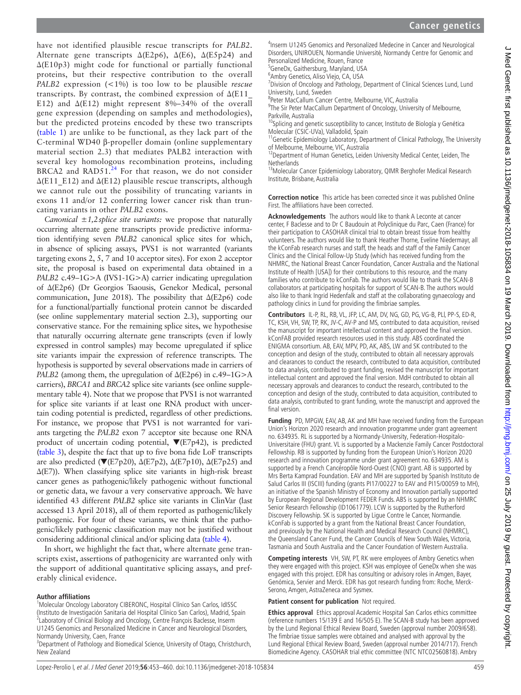have not identified plausible rescue transcripts for *PALB2*. Alternate gene transcripts  $\Delta$ (E2p6),  $\Delta$ (E6),  $\Delta$ (E5p24) and Δ(E10p3) might code for functional or partially functional proteins, but their respective contribution to the overall *PALB2* expression (<1%) is too low to be plausible *rescue* transcripts. By contrast, the combined expression of  $\Delta$ (E11 E12) and  $\Delta$ (E12) might represent 8%–34% of the overall gene expression (depending on samples and methodologies), but the predicted proteins encoded by these two transcripts (table 1) are unlike to be functional, as they lack part of the C-terminal WD40 β-propeller domain (online [supplementary](https://dx.doi.org/10.1136/jmedgenet-2018-105834)  [material section 2.3\)](https://dx.doi.org/10.1136/jmedgenet-2018-105834) that mediates PALB2 interaction with several key homologous recombination proteins, including BRCA2 and RAD51. $^{24}$  For that reason, we do not consider  $\Delta$ (E11 E12) and  $\Delta$ (E12) plausible rescue transcripts, although we cannot rule out the possibility of truncating variants in exons 11 and/or 12 conferring lower cancer risk than truncating variants in other *PALB2* exons.

*Canonical ±1,2splice site variants:* we propose that naturally occurring alternate gene transcripts provide predictive information identifying seven *PALB2* canonical splice sites for which, in absence of splicing assays, PVS1 is not warranted (variants targeting exons 2, 5, 7 and 10 acceptor sites). For exon 2 acceptor site, the proposal is based on experimental data obtained in a *PALB2* c.49–1G>A (IVS1-1G>A) carrier indicating upregulation of ∆(E2p6) (Dr Georgios Tsaousis, Genekor Medical, personal communication, June 2018). The possibility that ∆(E2p6) code for a functional/partially functional protein cannot be discarded (see online [supplementary material section 2.3](https://dx.doi.org/10.1136/jmedgenet-2018-105834)), supporting our conservative stance. For the remaining splice sites, we hypothesise that naturally occurring alternate gene transcripts (even if lowly expressed in control samples) may become upregulated if splice site variants impair the expression of reference transcripts. The hypothesis is supported by several observations made in carriers of *PALB2* (among them, the upregulation of Δ(E2p6) in c.49–1G>A carriers), *BRCA1* and *BRCA2* splice site variants (see online [supple](https://dx.doi.org/10.1136/jmedgenet-2018-105834)[mentary table 4\)](https://dx.doi.org/10.1136/jmedgenet-2018-105834). Note that we propose that PVS1 is not warranted for splice site variants if at least one RNA product with uncertain coding potential is predicted, regardless of other predictions. For instance, we propose that PVS1 is not warranted for variants targeting the *PALB2* exon 7 acceptor site because one RNA product of uncertain coding potential, ▼(E7p42), is predicted (table 3), despite the fact that up to five bona fide LoF transcripts are also predicted ( $\nabla$ (E7p20),  $\Delta$ (E7p2),  $\Delta$ (E7p10),  $\Delta$ (E7p25) and Δ(E7)). When classifying splice site variants in high-risk breast cancer genes as pathogenic/likely pathogenic without functional or genetic data, we favour a very conservative approach. We have identified 43 different *PALB2* splice site variants in ClinVar (last accessed 13 April 2018), all of them reported as pathogenic/likely pathogenic. For four of these variants, we think that the pathogenic/likely pathogenic classification may not be justified without considering additional clinical and/or splicing data (table 4).

In short, we highlight the fact that, where alternate gene transcripts exist, assertions of pathogenicity are warranted only with the support of additional quantitative splicing assays, and preferably clinical evidence.

#### **Author affiliations**

<sup>1</sup>Molecular Oncology Laboratory CIBERONC, Hospital Clínico San Carlos, IdISSC (Instituto de Investigación Sanitaria del Hospital Clínico San Carlos), Madrid, Spain <sup>2</sup>  $2$ Laboratory of Clinical Biology and Oncology, Centre François Baclesse, Inserm U1245 Genomics and Personalized Medicine in Cancer and Neurological Disorders, Normandy University, Caen, France

<sup>3</sup> Department of Pathology and Biomedical Science, University of Otago, Christchurch, New Zealand

4 Inserm U1245 Genomics and Personalized Medecine in Cancer and Neurological Disorders, UNIROUEN, Normandie Université, Normandy Centre for Genomic and Personalized Medicine, Rouen, France

<sup>5</sup>GeneDx, Gaithersburg, Maryland, USA <sup>6</sup>Ambry Genetics, Aliso Viejo, CA, USA

<sup>7</sup> Division of Oncology and Pathology, Department of Clinical Sciences Lund, Lund University, Lund, Sweden <sup>8</sup>

<sup>8</sup>Peter MacCallum Cancer Centre, Melbourne, VIC, Australia

<sup>9</sup>The Sir Peter MacCallum Department of Oncology, University of Melbourne,

Parkville, Australia<br><sup>10</sup>Splicing and genetic susceptibility to cancer, Instituto de Biología y Genética<br>Molecular (CSIC-UVa), Valladolid, Spain

 $11$ Genetic Epidemiology Laboratory, Department of Clinical Pathology, The University

of Melbourne, Melbourne, VIC, Australia<br><sup>12</sup>Department of Human Genetics, Leiden University Medical Center, Leiden, The **Netherlands** 

<sup>13</sup>Molecular Cancer Epidemiology Laboratory, QIMR Berghofer Medical Research Institute, Brisbane, Australia

**Correction notice** This article has been corrected since it was published Online First. The affiliations have been corrected.

**Acknowledgements** The authors would like to thank A Leconte at cancer center, F Baclesse and to Dr C Baudouin at Polyclinique du Parc, Caen (France) for their participation to CASOHAR clinical trial to obtain breast tissue from healthy volunteers. The authors would like to thank Heather Thorne, Eveline Niedermayr, all the kConFab research nurses and staff, the heads and staff of the Family Cancer Clinics and the Clinical Follow-Up Study (which has received funding from the NHMRC, the National Breast Cancer Foundation, Cancer Australia and the National Institute of Health [USA]) for their contributions to this resource, and the many families who contribute to kConFab. The authors would like to thank the SCAN-B collaborators at participating hospitals for support of SCAN-B. The authors would also like to thank Ingrid Hedenfalk and staff at the collaborating gynaecology and pathology clinics in Lund for providing the fimbriae samples.

**Contributors** IL-P, RL, RB, VL, JFP, LC, AM, DV, NG, GD, PG, VG-B, PLl, PP-S, ED-R, TC, KSH, VH, SW, TP, RK, JV-C, AV-P and MS, contributed to data acquisition, revised the manuscript for important intellectual content and approved the final version. kConFAB provided research resources used in this study. ABS coordinated the ENIGMA consortium. AB, EAV, MPV, PD, AK, ABS, LW and SK contributed to the conception and design of the study, contributed to obtain all necessary approvals and clearances to conduct the research, contributed to data acquisition, contributed to data analysis, contributed to grant funding, revised the manuscript for important intellectual content and approved the final version. MdH contributed to obtain all necessary approvals and clearances to conduct the research, contributed to the conception and design of the study, contributed to data acquisition, contributed to data analysis, contributed to grant funding, wrote the manuscript and approved the final version.

**Funding** PD, MPGW, EAV, AB, AK and MH have received funding from the European Union's Horizon 2020 research and innovation programme under grant agreement no. 634935. RL is supported by a Normandy-University, Federation-Hospitalo-Universitaire (FHU) grant. VL is supported by a Mackenzie Family Cancer Postdoctoral Fellowship. RB is supported by funding from the European Union's Horizon 2020 research and innovation programme under grant agreement no. 634935. AM is supported by a French Cancéropôle Nord-Ouest (CNO) grant. AB is supported by Mrs Berta Kamprad Foundation. EAV and MH are supported by Spanish Instituto de Salud Carlos III (ISCIII) funding (grants PI17/00227 to EAV and PI15/00059 to MH), an initiative of the Spanish Ministry of Economy and Innovation partially supported by European Regional Development FEDER Funds. ABS is supported by an NHMRC Senior Research Fellowship (ID1061779). LCW is supported by the Rutherford Discovery Fellowship. SK is supported by Ligue Contre le Cancer, Normandie. kConFab is supported by a grant from the National Breast Cancer Foundation, and previously by the National Health and Medical Research Council (NHMRC), the Queensland Cancer Fund, the Cancer Councils of New South Wales, Victoria, Tasmania and South Australia and the Cancer Foundation of Western Australia.

**Competing interests** VH, SW, PT, RK were employees of Ambry Genetics when they were engaged with this project. KSH was employee of GeneDx when she was engaged with this project. EDR has consulting or advisory roles in Amgen, Bayer, Genómica, Servier and Merck. EDR has got research funding from: Roche, Merck-Serono, Amgen, AstraZeneca and Sysmex.

#### **Patient consent for publication** Not required.

**Ethics approval** Ethics approval Academic Hospital San Carlos ethics committee (reference numbers 15/139 E and 16/505 E). The SCAN-B study has been approved by the Lund Regional Ethical Review Board, Sweden (approval number 2009/658). The fimbriae tissue samples were obtained and analysed with approval by the Lund Regional Ethical Review Board, Sweden (approval number 2014/717). French Biomedicine Agency. CASOHAR trial ethic committee (NTC NTC02560818). Ambry